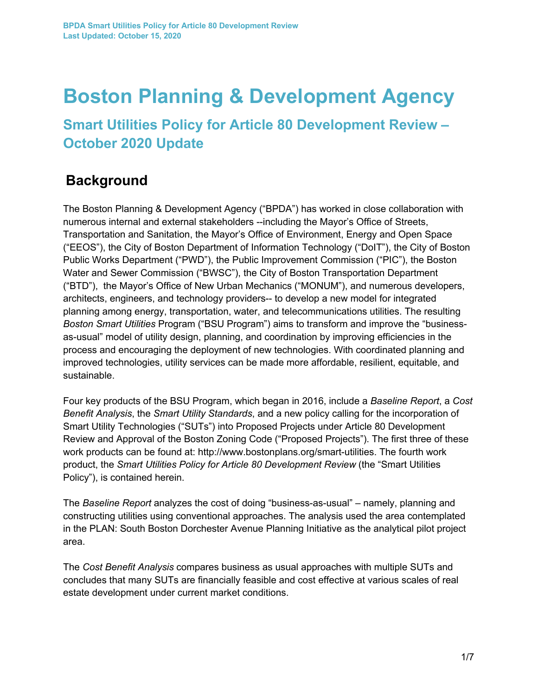# **Boston Planning & Development Agency**

**Smart Utilities Policy for Article 80 Development Review – October 2020 Update**

### **Background**

The Boston Planning & Development Agency ("BPDA") has worked in close collaboration with numerous internal and external stakeholders --including the Mayor's Office of Streets, Transportation and Sanitation, the Mayor's Office of Environment, Energy and Open Space ("EEOS"), the City of Boston Department of Information Technology ("DoIT"), the City of Boston Public Works Department ("PWD"), the Public Improvement Commission ("PIC"), the Boston Water and Sewer Commission ("BWSC"), the City of Boston Transportation Department ("BTD"), the Mayor's Office of New Urban Mechanics ("MONUM"), and numerous developers, architects, engineers, and technology providers-- to develop a new model for integrated planning among energy, transportation, water, and telecommunications utilities. The resulting *Boston Smart Utilities* Program ("BSU Program") aims to transform and improve the "businessas-usual" model of utility design, planning, and coordination by improving efficiencies in the process and encouraging the deployment of new technologies. With coordinated planning and improved technologies, utility services can be made more affordable, resilient, equitable, and sustainable.

Four key products of the BSU Program, which began in 2016, include a *Baseline Report*, a *Cost Benefit Analysis*, the *Smart Utility Standards*, and a new policy calling for the incorporation of Smart Utility Technologies ("SUTs") into Proposed Projects under Article 80 Development Review and Approval of the Boston Zoning Code ("Proposed Projects"). The first three of these work products can be found at: http://www.bostonplans.org/smart-utilities. The fourth work product, the *Smart Utilities Policy for Article 80 Development Review* (the "Smart Utilities Policy"), is contained herein.

The *Baseline Report* analyzes the cost of doing "business-as-usual" – namely, planning and constructing utilities using conventional approaches. The analysis used the area contemplated in the PLAN: South Boston Dorchester Avenue Planning Initiative as the analytical pilot project area.

The *Cost Benefit Analysis* compares business as usual approaches with multiple SUTs and concludes that many SUTs are financially feasible and cost effective at various scales of real estate development under current market conditions.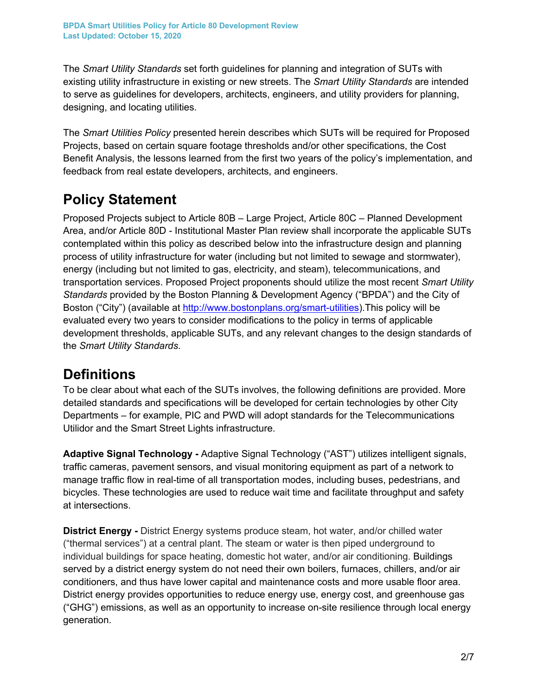The *Smart Utility Standards* set forth guidelines for planning and integration of SUTs with existing utility infrastructure in existing or new streets. The *Smart Utility Standards* are intended to serve as guidelines for developers, architects, engineers, and utility providers for planning, designing, and locating utilities.

The *Smart Utilities Policy* presented herein describes which SUTs will be required for Proposed Projects, based on certain square footage thresholds and/or other specifications, the Cost Benefit Analysis, the lessons learned from the first two years of the policy's implementation, and feedback from real estate developers, architects, and engineers.

## **Policy Statement**

Proposed Projects subject to Article 80B – Large Project, Article 80C – Planned Development Area, and/or Article 80D - Institutional Master Plan review shall incorporate the applicable SUTs contemplated within this policy as described below into the infrastructure design and planning process of utility infrastructure for water (including but not limited to sewage and stormwater), energy (including but not limited to gas, electricity, and steam), telecommunications, and transportation services. Proposed Project proponents should utilize the most recent *Smart Utility Standards* provided by the Boston Planning & Development Agency ("BPDA") and the City of Boston ("City") (available at http://www.bostonplans.org/smart-utilities).This policy will be evaluated every two years to consider modifications to the policy in terms of applicable development thresholds, applicable SUTs, and any relevant changes to the design standards of the *Smart Utility Standards*.

### **Definitions**

To be clear about what each of the SUTs involves, the following definitions are provided. More detailed standards and specifications will be developed for certain technologies by other City Departments – for example, PIC and PWD will adopt standards for the Telecommunications Utilidor and the Smart Street Lights infrastructure.

**Adaptive Signal Technology -** Adaptive Signal Technology ("AST") utilizes intelligent signals, traffic cameras, pavement sensors, and visual monitoring equipment as part of a network to manage traffic flow in real-time of all transportation modes, including buses, pedestrians, and bicycles. These technologies are used to reduce wait time and facilitate throughput and safety at intersections.

**District Energy -** District Energy systems produce steam, hot water, and/or chilled water ("thermal services") at a central plant. The steam or water is then piped underground to individual buildings for space heating, domestic hot water, and/or air conditioning. Buildings served by a district energy system do not need their own boilers, furnaces, chillers, and/or air conditioners, and thus have lower capital and maintenance costs and more usable floor area. District energy provides opportunities to reduce energy use, energy cost, and greenhouse gas ("GHG") emissions, as well as an opportunity to increase on-site resilience through local energy generation.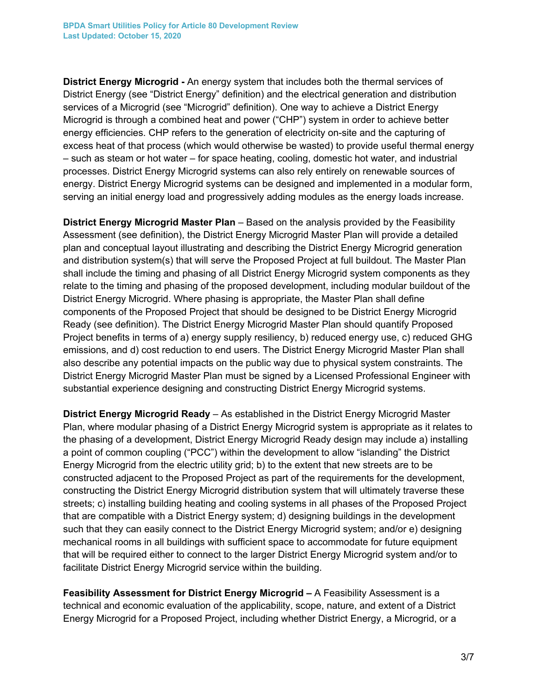**District Energy Microgrid -** An energy system that includes both the thermal services of District Energy (see "District Energy" definition) and the electrical generation and distribution services of a Microgrid (see "Microgrid" definition). One way to achieve a District Energy Microgrid is through a combined heat and power ("CHP") system in order to achieve better energy efficiencies. CHP refers to the generation of electricity on-site and the capturing of excess heat of that process (which would otherwise be wasted) to provide useful thermal energy – such as steam or hot water – for space heating, cooling, domestic hot water, and industrial processes. District Energy Microgrid systems can also rely entirely on renewable sources of energy. District Energy Microgrid systems can be designed and implemented in a modular form, serving an initial energy load and progressively adding modules as the energy loads increase.

**District Energy Microgrid Master Plan** – Based on the analysis provided by the Feasibility Assessment (see definition), the District Energy Microgrid Master Plan will provide a detailed plan and conceptual layout illustrating and describing the District Energy Microgrid generation and distribution system(s) that will serve the Proposed Project at full buildout. The Master Plan shall include the timing and phasing of all District Energy Microgrid system components as they relate to the timing and phasing of the proposed development, including modular buildout of the District Energy Microgrid. Where phasing is appropriate, the Master Plan shall define components of the Proposed Project that should be designed to be District Energy Microgrid Ready (see definition). The District Energy Microgrid Master Plan should quantify Proposed Project benefits in terms of a) energy supply resiliency, b) reduced energy use, c) reduced GHG emissions, and d) cost reduction to end users. The District Energy Microgrid Master Plan shall also describe any potential impacts on the public way due to physical system constraints. The District Energy Microgrid Master Plan must be signed by a Licensed Professional Engineer with substantial experience designing and constructing District Energy Microgrid systems.

**District Energy Microgrid Ready** – As established in the District Energy Microgrid Master Plan, where modular phasing of a District Energy Microgrid system is appropriate as it relates to the phasing of a development, District Energy Microgrid Ready design may include a) installing a point of common coupling ("PCC") within the development to allow "islanding" the District Energy Microgrid from the electric utility grid; b) to the extent that new streets are to be constructed adjacent to the Proposed Project as part of the requirements for the development, constructing the District Energy Microgrid distribution system that will ultimately traverse these streets; c) installing building heating and cooling systems in all phases of the Proposed Project that are compatible with a District Energy system; d) designing buildings in the development such that they can easily connect to the District Energy Microgrid system; and/or e) designing mechanical rooms in all buildings with sufficient space to accommodate for future equipment that will be required either to connect to the larger District Energy Microgrid system and/or to facilitate District Energy Microgrid service within the building.

**Feasibility Assessment for District Energy Microgrid –** A Feasibility Assessment is a technical and economic evaluation of the applicability, scope, nature, and extent of a District Energy Microgrid for a Proposed Project, including whether District Energy, a Microgrid, or a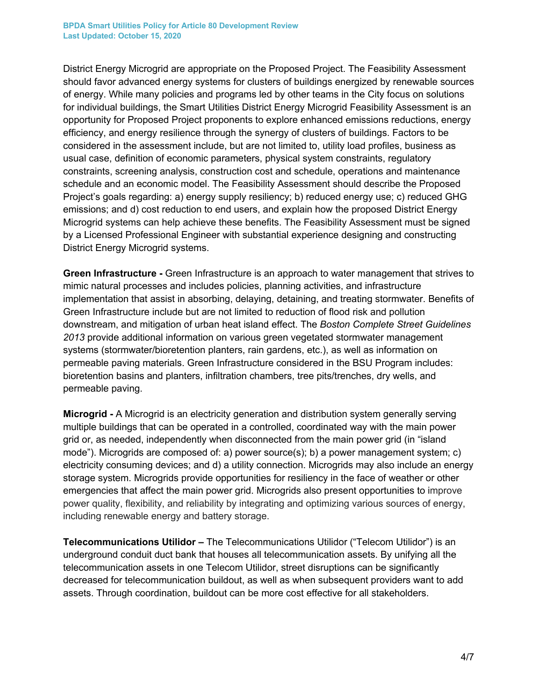District Energy Microgrid are appropriate on the Proposed Project. The Feasibility Assessment should favor advanced energy systems for clusters of buildings energized by renewable sources of energy. While many policies and programs led by other teams in the City focus on solutions for individual buildings, the Smart Utilities District Energy Microgrid Feasibility Assessment is an opportunity for Proposed Project proponents to explore enhanced emissions reductions, energy efficiency, and energy resilience through the synergy of clusters of buildings. Factors to be considered in the assessment include, but are not limited to, utility load profiles, business as usual case, definition of economic parameters, physical system constraints, regulatory constraints, screening analysis, construction cost and schedule, operations and maintenance schedule and an economic model. The Feasibility Assessment should describe the Proposed Project's goals regarding: a) energy supply resiliency; b) reduced energy use; c) reduced GHG emissions; and d) cost reduction to end users, and explain how the proposed District Energy Microgrid systems can help achieve these benefits. The Feasibility Assessment must be signed by a Licensed Professional Engineer with substantial experience designing and constructing District Energy Microgrid systems.

**Green Infrastructure -** Green Infrastructure is an approach to water management that strives to mimic natural processes and includes policies, planning activities, and infrastructure implementation that assist in absorbing, delaying, detaining, and treating stormwater. Benefits of Green Infrastructure include but are not limited to reduction of flood risk and pollution downstream, and mitigation of urban heat island effect. The *Boston Complete Street Guidelines 2013* provide additional information on various green vegetated stormwater management systems (stormwater/bioretention planters, rain gardens, etc.), as well as information on permeable paving materials. Green Infrastructure considered in the BSU Program includes: bioretention basins and planters, infiltration chambers, tree pits/trenches, dry wells, and permeable paving.

**Microgrid -** A Microgrid is an electricity generation and distribution system generally serving multiple buildings that can be operated in a controlled, coordinated way with the main power grid or, as needed, independently when disconnected from the main power grid (in "island mode"). Microgrids are composed of: a) power source(s); b) a power management system; c) electricity consuming devices; and d) a utility connection. Microgrids may also include an energy storage system. Microgrids provide opportunities for resiliency in the face of weather or other emergencies that affect the main power grid. Microgrids also present opportunities to improve power quality, flexibility, and reliability by integrating and optimizing various sources of energy, including renewable energy and battery storage.

**Telecommunications Utilidor –** The Telecommunications Utilidor ("Telecom Utilidor") is an underground conduit duct bank that houses all telecommunication assets. By unifying all the telecommunication assets in one Telecom Utilidor, street disruptions can be significantly decreased for telecommunication buildout, as well as when subsequent providers want to add assets. Through coordination, buildout can be more cost effective for all stakeholders.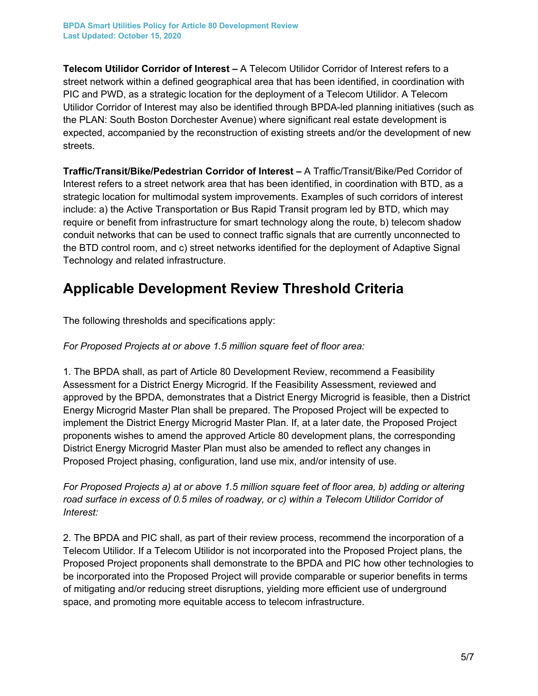**Telecom Utilidor Corridor of Interest –** A Telecom Utilidor Corridor of Interest refers to a street network within a defined geographical area that has been identified, in coordination with PIC and PWD, as a strategic location for the deployment of a Telecom Utilidor. A Telecom Utilidor Corridor of Interest may also be identified through BPDA-led planning initiatives (such as the PLAN: South Boston Dorchester Avenue) where significant real estate development is expected, accompanied by the reconstruction of existing streets and/or the development of new streets.

**Traffic/Transit/Bike/Pedestrian Corridor of Interest –** A Traffic/Transit/Bike/Ped Corridor of Interest refers to a street network area that has been identified, in coordination with BTD, as a strategic location for multimodal system improvements. Examples of such corridors of interest include: a) the Active Transportation or Bus Rapid Transit program led by BTD, which may require or benefit from infrastructure for smart technology along the route, b) telecom shadow conduit networks that can be used to connect traffic signals that are currently unconnected to the BTD control room, and c) street networks identified for the deployment of Adaptive Signal Technology and related infrastructure.

### **Applicable Development Review Threshold Criteria**

The following thresholds and specifications apply:

#### *For Proposed Projects at or above 1.5 million square feet of floor area:*

1. The BPDA shall, as part of Article 80 Development Review, recommend a Feasibility Assessment for a District Energy Microgrid. If the Feasibility Assessment, reviewed and approved by the BPDA, demonstrates that a District Energy Microgrid is feasible, then a District Energy Microgrid Master Plan shall be prepared. The Proposed Project will be expected to implement the District Energy Microgrid Master Plan. If, at a later date, the Proposed Project proponents wishes to amend the approved Article 80 development plans, the corresponding District Energy Microgrid Master Plan must also be amended to reflect any changes in Proposed Project phasing, configuration, land use mix, and/or intensity of use.

*For Proposed Projects a) at or above 1.5 million square feet of floor area, b) adding or altering road surface in excess of 0.5 miles of roadway, or c) within a Telecom Utilidor Corridor of Interest:*

2. The BPDA and PIC shall, as part of their review process, recommend the incorporation of a Telecom Utilidor. If a Telecom Utilidor is not incorporated into the Proposed Project plans, the Proposed Project proponents shall demonstrate to the BPDA and PIC how other technologies to be incorporated into the Proposed Project will provide comparable or superior benefits in terms of mitigating and/or reducing street disruptions, yielding more efficient use of underground space, and promoting more equitable access to telecom infrastructure.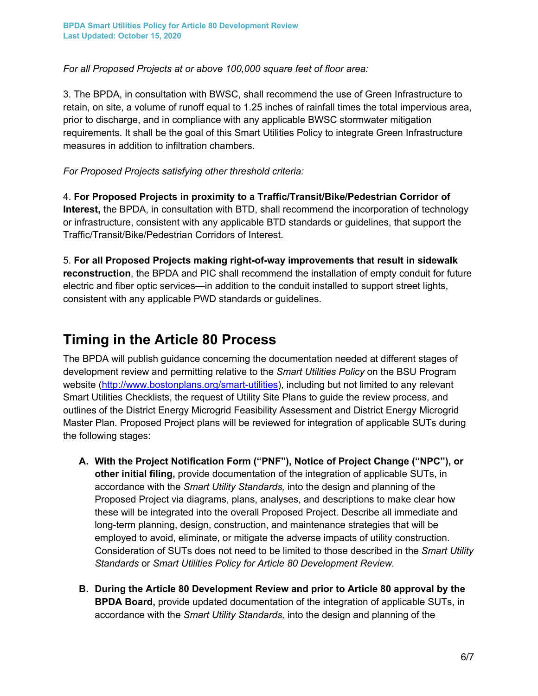*For all Proposed Projects at or above 100,000 square feet of floor area:*

3. The BPDA, in consultation with BWSC, shall recommend the use of Green Infrastructure to retain, on site, a volume of runoff equal to 1.25 inches of rainfall times the total impervious area, prior to discharge, and in compliance with any applicable BWSC stormwater mitigation requirements. It shall be the goal of this Smart Utilities Policy to integrate Green Infrastructure measures in addition to infiltration chambers.

#### *For Proposed Projects satisfying other threshold criteria:*

4. **For Proposed Projects in proximity to a Traffic/Transit/Bike/Pedestrian Corridor of Interest,** the BPDA, in consultation with BTD, shall recommend the incorporation of technology or infrastructure, consistent with any applicable BTD standards or guidelines, that support the Traffic/Transit/Bike/Pedestrian Corridors of Interest.

5. **For all Proposed Projects making right-of-way improvements that result in sidewalk reconstruction**, the BPDA and PIC shall recommend the installation of empty conduit for future electric and fiber optic services—in addition to the conduit installed to support street lights, consistent with any applicable PWD standards or guidelines.

#### **Timing in the Article 80 Process**

The BPDA will publish guidance concerning the documentation needed at different stages of development review and permitting relative to the *Smart Utilities Policy* on the BSU Program website (http://www.bostonplans.org/smart-utilities), including but not limited to any relevant Smart Utilities Checklists, the request of Utility Site Plans to guide the review process, and outlines of the District Energy Microgrid Feasibility Assessment and District Energy Microgrid Master Plan*.* Proposed Project plans will be reviewed for integration of applicable SUTs during the following stages:

- **A. With the Project Notification Form ("PNF"), Notice of Project Change ("NPC"), or other initial filing,** provide documentation of the integration of applicable SUTs, in accordance with the *Smart Utility Standards,* into the design and planning of the Proposed Project via diagrams, plans, analyses, and descriptions to make clear how these will be integrated into the overall Proposed Project. Describe all immediate and long-term planning, design, construction, and maintenance strategies that will be employed to avoid, eliminate, or mitigate the adverse impacts of utility construction. Consideration of SUTs does not need to be limited to those described in the *Smart Utility Standards* or *Smart Utilities Policy for Article 80 Development Review.*
- **B. During the Article 80 Development Review and prior to Article 80 approval by the BPDA Board,** provide updated documentation of the integration of applicable SUTs, in accordance with the *Smart Utility Standards,* into the design and planning of the